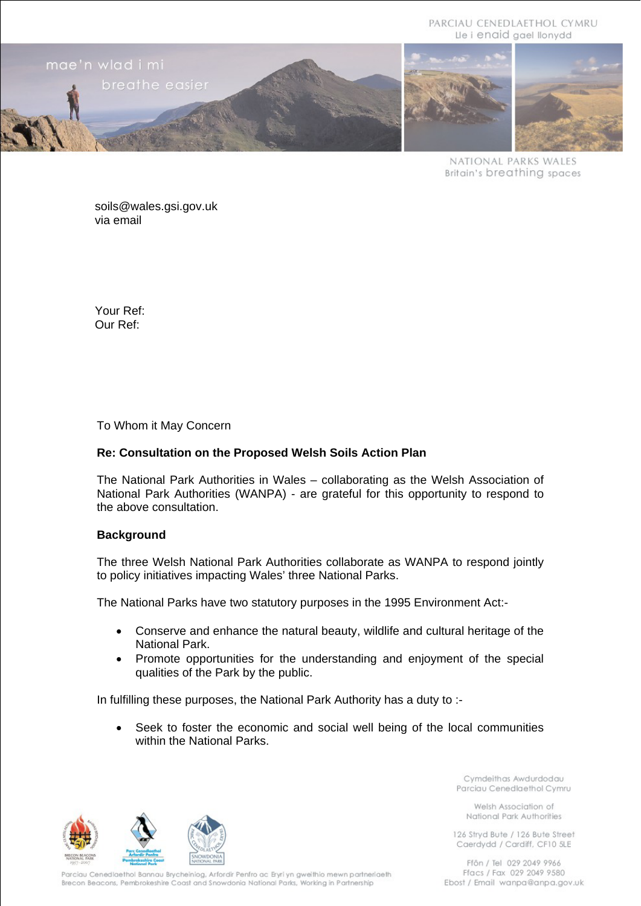PARCIAU CENEDLAETHOL CYMRU Lle i enaid gael llonydd



NATIONAL PARKS WALES **Britain's breathing spaces** 

soils@wales.gsi.gov.uk via email

Your Ref: Our Ref:

To Whom it May Concern

# **Re: Consultation on the Proposed Welsh Soils Action Plan**

The National Park Authorities in Wales – collaborating as the Welsh Association of National Park Authorities (WANPA) - are grateful for this opportunity to respond to the above consultation.

#### **Background**

The three Welsh National Park Authorities collaborate as WANPA to respond jointly to policy initiatives impacting Wales' three National Parks.

The National Parks have two statutory purposes in the 1995 Environment Act:-

- Conserve and enhance the natural beauty, wildlife and cultural heritage of the National Park.
- Promote opportunities for the understanding and enjoyment of the special qualities of the Park by the public.

In fulfilling these purposes, the National Park Authority has a duty to :-

Seek to foster the economic and social well being of the local communities within the National Parks.



Cymdeithas Awdurdodau Parciau Cenedlaethol Cymru

Welsh Association of National Park Authorities

126 Strvd Bute / 126 Bute Street Caerdydd / Cardiff, CF10 5LE

Parciau Cenedlaethol Bannau Brycheiniog, Arfordir Penfro ac Eryri yn gweithio mewn partneriaeth Brecon Beacons, Pembrokeshire Coast and Snowdonia National Parks, Working in Partnership

Ffôn / Tel 029 2049 9966 Ffacs / Fax 029 2049 9580 Ebost / Email wanpa@anpa.gov.uk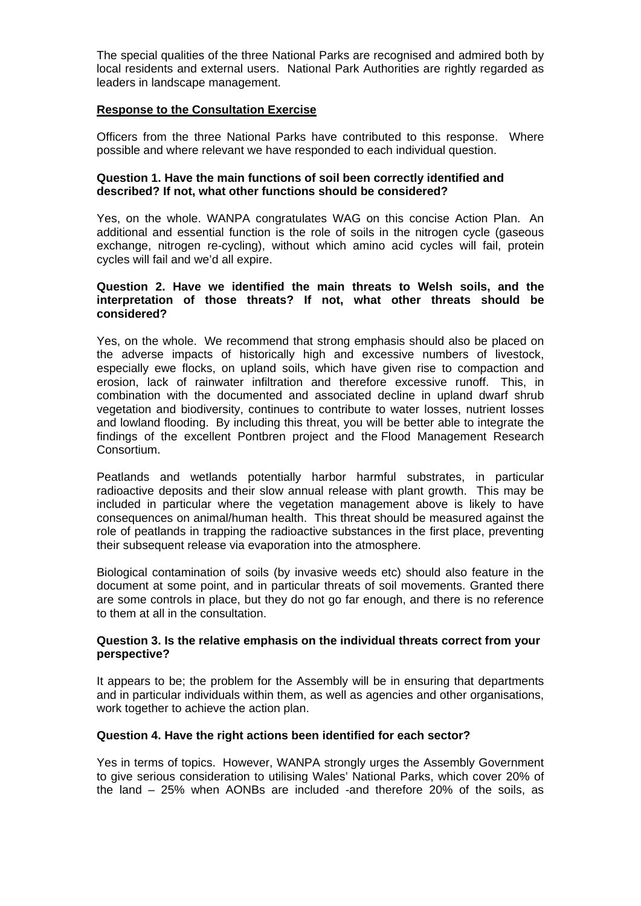The special qualities of the three National Parks are recognised and admired both by local residents and external users. National Park Authorities are rightly regarded as leaders in landscape management.

### **Response to the Consultation Exercise**

Officers from the three National Parks have contributed to this response. Where possible and where relevant we have responded to each individual question.

#### **Question 1. Have the main functions of soil been correctly identified and described? If not, what other functions should be considered?**

Yes, on the whole. WANPA congratulates WAG on this concise Action Plan. An additional and essential function is the role of soils in the nitrogen cycle (gaseous exchange, nitrogen re-cycling), without which amino acid cycles will fail, protein cycles will fail and we'd all expire.

# **Question 2. Have we identified the main threats to Welsh soils, and the interpretation of those threats? If not, what other threats should be considered?**

Yes, on the whole. We recommend that strong emphasis should also be placed on the adverse impacts of historically high and excessive numbers of livestock, especially ewe flocks, on upland soils, which have given rise to compaction and erosion, lack of rainwater infiltration and therefore excessive runoff. This, in combination with the documented and associated decline in upland dwarf shrub vegetation and biodiversity, continues to contribute to water losses, nutrient losses and lowland flooding. By including this threat, you will be better able to integrate the findings of the excellent Pontbren project and the Flood Management Research Consortium.

Peatlands and wetlands potentially harbor harmful substrates, in particular radioactive deposits and their slow annual release with plant growth. This may be included in particular where the vegetation management above is likely to have consequences on animal/human health. This threat should be measured against the role of peatlands in trapping the radioactive substances in the first place, preventing their subsequent release via evaporation into the atmosphere.

Biological contamination of soils (by invasive weeds etc) should also feature in the document at some point, and in particular threats of soil movements. Granted there are some controls in place, but they do not go far enough, and there is no reference to them at all in the consultation.

# **Question 3. Is the relative emphasis on the individual threats correct from your perspective?**

It appears to be; the problem for the Assembly will be in ensuring that departments and in particular individuals within them, as well as agencies and other organisations, work together to achieve the action plan.

# **Question 4. Have the right actions been identified for each sector?**

Yes in terms of topics. However, WANPA strongly urges the Assembly Government to give serious consideration to utilising Wales' National Parks, which cover 20% of the land – 25% when AONBs are included -and therefore 20% of the soils, as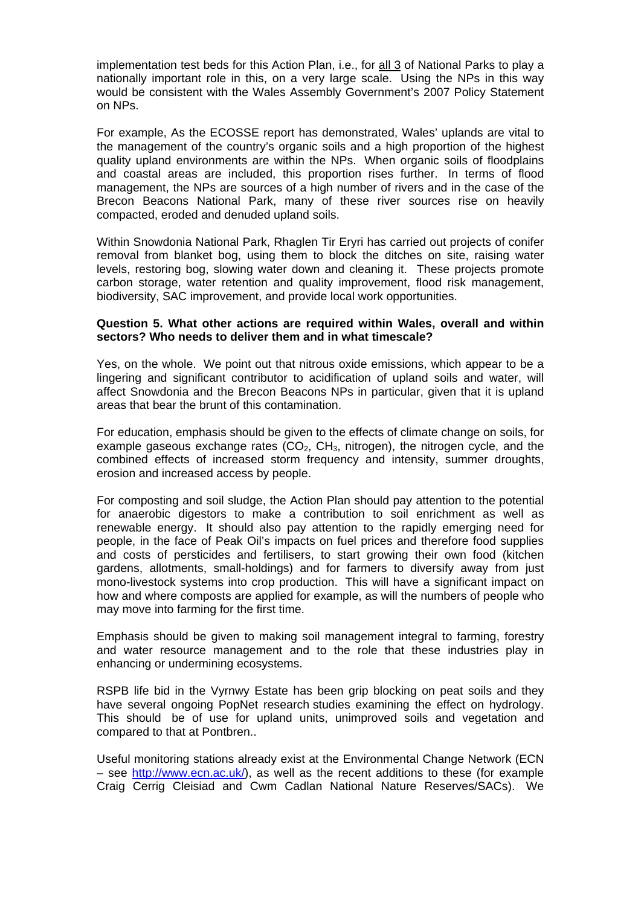implementation test beds for this Action Plan, i.e., for all 3 of National Parks to play a nationally important role in this, on a very large scale. Using the NPs in this way would be consistent with the Wales Assembly Government's 2007 Policy Statement on NPs.

For example, As the ECOSSE report has demonstrated, Wales' uplands are vital to the management of the country's organic soils and a high proportion of the highest quality upland environments are within the NPs. When organic soils of floodplains and coastal areas are included, this proportion rises further. In terms of flood management, the NPs are sources of a high number of rivers and in the case of the Brecon Beacons National Park, many of these river sources rise on heavily compacted, eroded and denuded upland soils.

Within Snowdonia National Park, Rhaglen Tir Eryri has carried out projects of conifer removal from blanket bog, using them to block the ditches on site, raising water levels, restoring bog, slowing water down and cleaning it. These projects promote carbon storage, water retention and quality improvement, flood risk management, biodiversity, SAC improvement, and provide local work opportunities.

### **Question 5. What other actions are required within Wales, overall and within sectors? Who needs to deliver them and in what timescale?**

Yes, on the whole. We point out that nitrous oxide emissions, which appear to be a lingering and significant contributor to acidification of upland soils and water, will affect Snowdonia and the Brecon Beacons NPs in particular, given that it is upland areas that bear the brunt of this contamination.

For education, emphasis should be given to the effects of climate change on soils, for example gaseous exchange rates  $(CO<sub>2</sub>, CH<sub>3</sub>, nitrogen)$ , the nitrogen cycle, and the combined effects of increased storm frequency and intensity, summer droughts, erosion and increased access by people.

For composting and soil sludge, the Action Plan should pay attention to the potential for anaerobic digestors to make a contribution to soil enrichment as well as renewable energy. It should also pay attention to the rapidly emerging need for people, in the face of Peak Oil's impacts on fuel prices and therefore food supplies and costs of persticides and fertilisers, to start growing their own food (kitchen gardens, allotments, small-holdings) and for farmers to diversify away from just mono-livestock systems into crop production. This will have a significant impact on how and where composts are applied for example, as will the numbers of people who may move into farming for the first time.

Emphasis should be given to making soil management integral to farming, forestry and water resource management and to the role that these industries play in enhancing or undermining ecosystems.

RSPB life bid in the Vyrnwy Estate has been grip blocking on peat soils and they have several ongoing PopNet research studies examining the effect on hydrology. This should be of use for upland units, unimproved soils and vegetation and compared to that at Pontbren..

Useful monitoring stations already exist at the Environmental Change Network (ECN – see <http://www.ecn.ac.uk/>), as well as the recent additions to these (for example Craig Cerrig Cleisiad and Cwm Cadlan National Nature Reserves/SACs). We